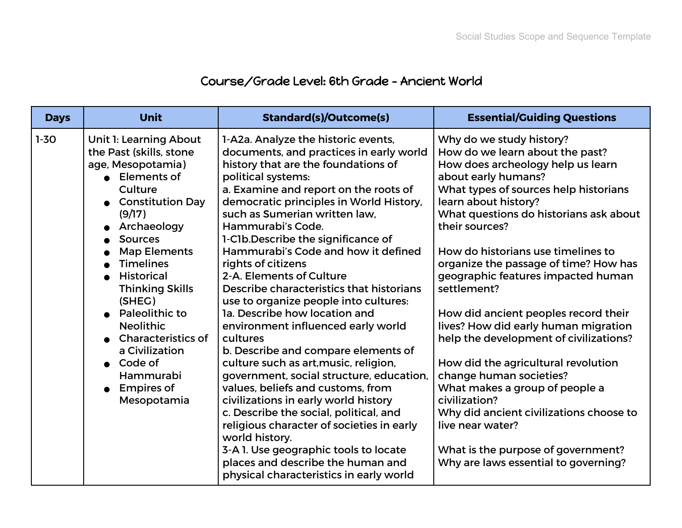## Course/Grade Level: 6th Grade - Ancient World

| <b>Days</b> | <b>Unit</b>                                                                                                                                                                                                                                                                                                                                                                                                                                            | <b>Standard(s)/Outcome(s)</b>                                                                                                                                                                                                                                                                                                                                                                                                                                                                                                                                                                                                                                                                                                                                                                                                                                                                                                                                                                                                                   | <b>Essential/Guiding Questions</b>                                                                                                                                                                                                                                                                                                                                                                                                                                                                                                                                                                                                                                                                                                                                                   |
|-------------|--------------------------------------------------------------------------------------------------------------------------------------------------------------------------------------------------------------------------------------------------------------------------------------------------------------------------------------------------------------------------------------------------------------------------------------------------------|-------------------------------------------------------------------------------------------------------------------------------------------------------------------------------------------------------------------------------------------------------------------------------------------------------------------------------------------------------------------------------------------------------------------------------------------------------------------------------------------------------------------------------------------------------------------------------------------------------------------------------------------------------------------------------------------------------------------------------------------------------------------------------------------------------------------------------------------------------------------------------------------------------------------------------------------------------------------------------------------------------------------------------------------------|--------------------------------------------------------------------------------------------------------------------------------------------------------------------------------------------------------------------------------------------------------------------------------------------------------------------------------------------------------------------------------------------------------------------------------------------------------------------------------------------------------------------------------------------------------------------------------------------------------------------------------------------------------------------------------------------------------------------------------------------------------------------------------------|
| $1 - 30$    | <b>Unit 1: Learning About</b><br>the Past (skills, stone<br>age, Mesopotamia)<br>• Elements of<br>Culture<br>• Constitution Day<br>(9/17)<br>Archaeology<br><b>Sources</b><br><b>Map Elements</b><br><b>Timelines</b><br><b>Historical</b><br>$\bullet$<br><b>Thinking Skills</b><br>(SHEG)<br>• Paleolithic to<br><b>Neolithic</b><br>• Characteristics of<br>a Civilization<br>$\bullet$ Code of<br>Hammurabi<br>$\bullet$ Empires of<br>Mesopotamia | 1-A2a. Analyze the historic events,<br>documents, and practices in early world<br>history that are the foundations of<br>political systems:<br>a. Examine and report on the roots of<br>democratic principles in World History,<br>such as Sumerian written law.<br>Hammurabi's Code.<br>1-C1b. Describe the significance of<br>Hammurabi's Code and how it defined<br>rights of citizens<br>2-A. Elements of Culture<br>Describe characteristics that historians<br>use to organize people into cultures:<br><b>1a. Describe how location and</b><br>environment influenced early world<br>cultures<br>b. Describe and compare elements of<br>culture such as art, music, religion,<br>government, social structure, education,<br>values, beliefs and customs, from<br>civilizations in early world history<br>c. Describe the social, political, and<br>religious character of societies in early<br>world history.<br>3-A 1. Use geographic tools to locate<br>places and describe the human and<br>physical characteristics in early world | Why do we study history?<br>How do we learn about the past?<br>How does archeology help us learn<br>about early humans?<br>What types of sources help historians<br>learn about history?<br>What questions do historians ask about<br>their sources?<br>How do historians use timelines to<br>organize the passage of time? How has<br>geographic features impacted human<br>settlement?<br>How did ancient peoples record their<br>lives? How did early human migration<br>help the development of civilizations?<br>How did the agricultural revolution<br>change human societies?<br>What makes a group of people a<br>civilization?<br>Why did ancient civilizations choose to<br>live near water?<br>What is the purpose of government?<br>Why are laws essential to governing? |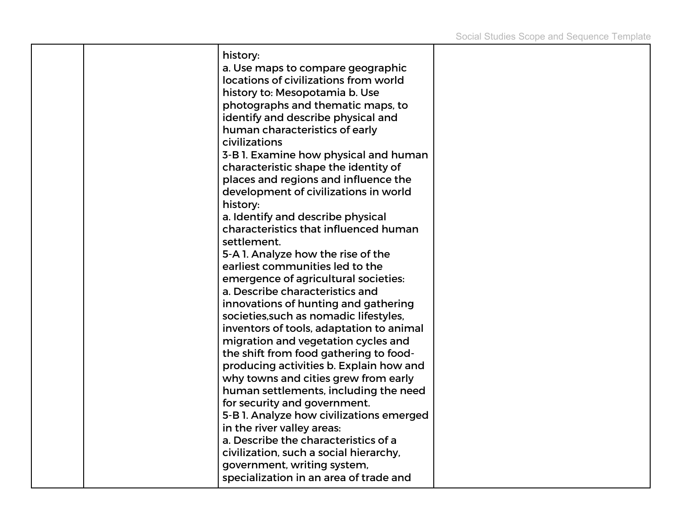|  | history:                                        |  |
|--|-------------------------------------------------|--|
|  | a. Use maps to compare geographic               |  |
|  | locations of civilizations from world           |  |
|  | history to: Mesopotamia b. Use                  |  |
|  | photographs and thematic maps, to               |  |
|  | identify and describe physical and              |  |
|  |                                                 |  |
|  | human characteristics of early<br>civilizations |  |
|  |                                                 |  |
|  | 3-B 1. Examine how physical and human           |  |
|  | characteristic shape the identity of            |  |
|  | places and regions and influence the            |  |
|  | development of civilizations in world           |  |
|  | history:                                        |  |
|  | a. Identify and describe physical               |  |
|  | characteristics that influenced human           |  |
|  | settlement.                                     |  |
|  | 5-A 1. Analyze how the rise of the              |  |
|  | earliest communities led to the                 |  |
|  | emergence of agricultural societies:            |  |
|  | a. Describe characteristics and                 |  |
|  | innovations of hunting and gathering            |  |
|  | societies, such as nomadic lifestyles,          |  |
|  | inventors of tools, adaptation to animal        |  |
|  | migration and vegetation cycles and             |  |
|  | the shift from food gathering to food-          |  |
|  | producing activities b. Explain how and         |  |
|  | why towns and cities grew from early            |  |
|  | human settlements, including the need           |  |
|  | for security and government.                    |  |
|  | 5-B 1. Analyze how civilizations emerged        |  |
|  | in the river valley areas:                      |  |
|  | a. Describe the characteristics of a            |  |
|  | civilization, such a social hierarchy,          |  |
|  | government, writing system,                     |  |
|  | specialization in an area of trade and          |  |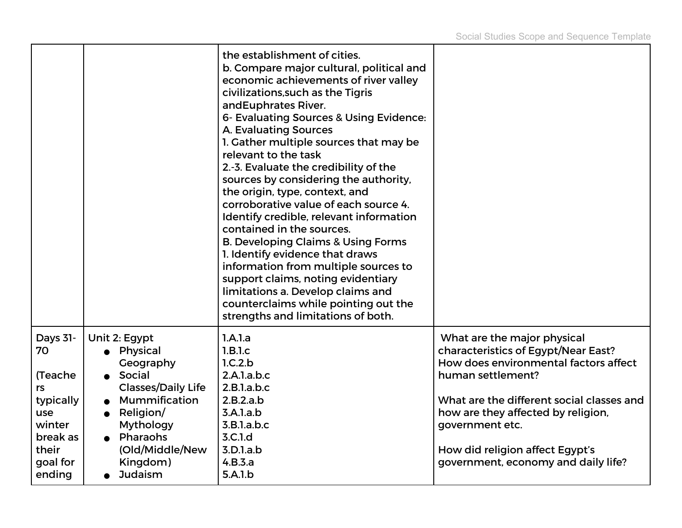|                    |                                        | the establishment of cities.<br>b. Compare major cultural, political and<br>economic achievements of river valley<br>civilizations, such as the Tigris<br>and Euphrates River.<br>6- Evaluating Sources & Using Evidence:<br>A. Evaluating Sources<br>1. Gather multiple sources that may be<br>relevant to the task<br>2.-3. Evaluate the credibility of the<br>sources by considering the authority,<br>the origin, type, context, and<br>corroborative value of each source 4.<br>Identify credible, relevant information<br>contained in the sources.<br><b>B. Developing Claims &amp; Using Forms</b><br>1. Identify evidence that draws<br>information from multiple sources to<br>support claims, noting evidentiary<br>limitations a. Develop claims and<br>counterclaims while pointing out the<br>strengths and limitations of both. |                                                                                                             |
|--------------------|----------------------------------------|------------------------------------------------------------------------------------------------------------------------------------------------------------------------------------------------------------------------------------------------------------------------------------------------------------------------------------------------------------------------------------------------------------------------------------------------------------------------------------------------------------------------------------------------------------------------------------------------------------------------------------------------------------------------------------------------------------------------------------------------------------------------------------------------------------------------------------------------|-------------------------------------------------------------------------------------------------------------|
| Days 31-<br>70     | Unit 2: Egypt<br>Physical<br>Geography | 1.A.1.a<br>1.B.1.c<br>1.C.2.b                                                                                                                                                                                                                                                                                                                                                                                                                                                                                                                                                                                                                                                                                                                                                                                                                  | What are the major physical<br>characteristics of Egypt/Near East?<br>How does environmental factors affect |
| (Teache            | Social                                 | 2.A.1.a.b.c                                                                                                                                                                                                                                                                                                                                                                                                                                                                                                                                                                                                                                                                                                                                                                                                                                    | human settlement?                                                                                           |
| rs                 | <b>Classes/Daily Life</b>              | 2.B.1.a.b.c                                                                                                                                                                                                                                                                                                                                                                                                                                                                                                                                                                                                                                                                                                                                                                                                                                    |                                                                                                             |
| typically          | Mummification                          | 2.B.2.a.b                                                                                                                                                                                                                                                                                                                                                                                                                                                                                                                                                                                                                                                                                                                                                                                                                                      | What are the different social classes and                                                                   |
| use                | • Religion/                            | 3.A.1.a.b                                                                                                                                                                                                                                                                                                                                                                                                                                                                                                                                                                                                                                                                                                                                                                                                                                      | how are they affected by religion,                                                                          |
| winter<br>break as | <b>Mythology</b><br>Pharaohs           | 3.B.1.a.b.c<br>3.C.1.d                                                                                                                                                                                                                                                                                                                                                                                                                                                                                                                                                                                                                                                                                                                                                                                                                         | government etc.                                                                                             |
| their              | (Old/Middle/New                        | 3.D.1.a.b                                                                                                                                                                                                                                                                                                                                                                                                                                                                                                                                                                                                                                                                                                                                                                                                                                      | How did religion affect Egypt's                                                                             |
| goal for           | Kingdom)                               | 4.B.3.a                                                                                                                                                                                                                                                                                                                                                                                                                                                                                                                                                                                                                                                                                                                                                                                                                                        | government, economy and daily life?                                                                         |
| ending             | <b>Judaism</b>                         | 5.A.1.b                                                                                                                                                                                                                                                                                                                                                                                                                                                                                                                                                                                                                                                                                                                                                                                                                                        |                                                                                                             |
|                    |                                        |                                                                                                                                                                                                                                                                                                                                                                                                                                                                                                                                                                                                                                                                                                                                                                                                                                                |                                                                                                             |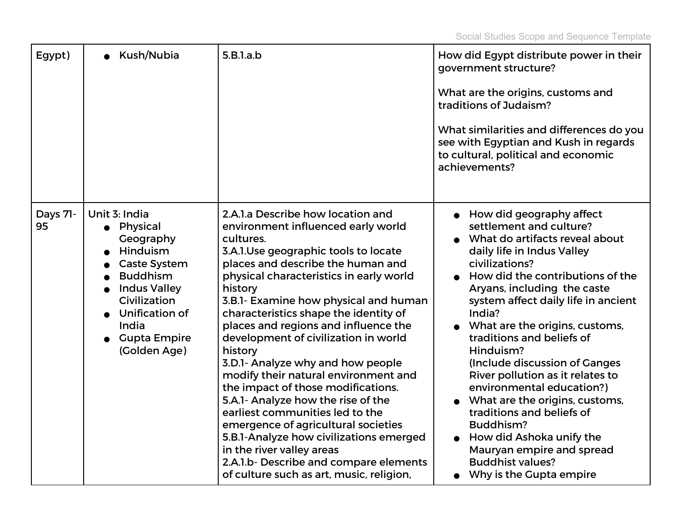| Egypt)         | Kush/Nubia                                                                                                                                                                                                                             | 5.B.1.a.b                                                                                                                                                                                                                                                                                                                                                                                                                                                                                                                                                                                                                                                                                                                                                                                             | How did Egypt distribute power in their<br>government structure?<br>What are the origins, customs and<br>traditions of Judaism?<br>What similarities and differences do you<br>see with Egyptian and Kush in regards<br>to cultural, political and economic<br>achievements?                                                                                                                                                                                                                                                                                                                                                       |
|----------------|----------------------------------------------------------------------------------------------------------------------------------------------------------------------------------------------------------------------------------------|-------------------------------------------------------------------------------------------------------------------------------------------------------------------------------------------------------------------------------------------------------------------------------------------------------------------------------------------------------------------------------------------------------------------------------------------------------------------------------------------------------------------------------------------------------------------------------------------------------------------------------------------------------------------------------------------------------------------------------------------------------------------------------------------------------|------------------------------------------------------------------------------------------------------------------------------------------------------------------------------------------------------------------------------------------------------------------------------------------------------------------------------------------------------------------------------------------------------------------------------------------------------------------------------------------------------------------------------------------------------------------------------------------------------------------------------------|
| Days 71-<br>95 | Unit 3: India<br>Physical<br>Geography<br>Hinduism<br><b>Caste System</b><br><b>Buddhism</b><br>$\bullet$<br><b>Indus Valley</b><br>$\bullet$<br>Civilization<br><b>Unification of</b><br>India<br><b>Gupta Empire</b><br>(Golden Age) | 2.A.1.a Describe how location and<br>environment influenced early world<br>cultures.<br>3.A.1.Use geographic tools to locate<br>places and describe the human and<br>physical characteristics in early world<br>history<br>3.B.1- Examine how physical and human<br>characteristics shape the identity of<br>places and regions and influence the<br>development of civilization in world<br>history<br>3.D.1- Analyze why and how people<br>modify their natural environment and<br>the impact of those modifications.<br>5.A.1- Analyze how the rise of the<br>earliest communities led to the<br>emergence of agricultural societies<br>5.B.1-Analyze how civilizations emerged<br>in the river valley areas<br>2.A.1.b- Describe and compare elements<br>of culture such as art, music, religion, | How did geography affect<br>settlement and culture?<br>What do artifacts reveal about<br>daily life in Indus Valley<br>civilizations?<br>How did the contributions of the<br>Aryans, including the caste<br>system affect daily life in ancient<br>India?<br>What are the origins, customs,<br>traditions and beliefs of<br>Hinduism?<br>(Include discussion of Ganges<br>River pollution as it relates to<br>environmental education?)<br>What are the origins, customs,<br>traditions and beliefs of<br>Buddhism?<br>How did Ashoka unify the<br>Mauryan empire and spread<br><b>Buddhist values?</b><br>Why is the Gupta empire |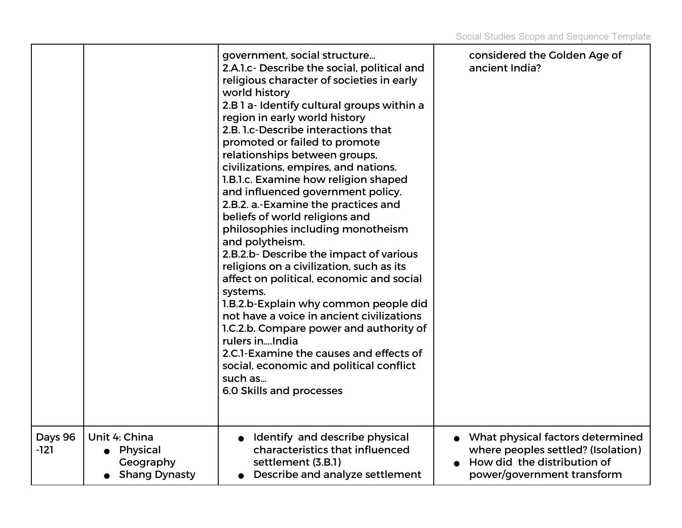|                 |                                                                  | government, social structure<br>2.A.1.c- Describe the social, political and<br>religious character of societies in early<br>world history<br>2.B 1 a- Identify cultural groups within a<br>region in early world history<br>2.B. 1.c-Describe interactions that<br>promoted or failed to promote<br>relationships between groups,<br>civilizations, empires, and nations.<br>1.B.1.c. Examine how religion shaped<br>and influenced government policy.<br>2.B.2. a.-Examine the practices and<br>beliefs of world religions and<br>philosophies including monotheism<br>and polytheism.<br>2.B.2.b- Describe the impact of various<br>religions on a civilization, such as its<br>affect on political, economic and social<br>systems.<br>1.B.2.b-Explain why common people did<br>not have a voice in ancient civilizations<br>1.C.2.b. Compare power and authority of<br>rulers in  India<br>2.C.1-Examine the causes and effects of<br>social, economic and political conflict<br>such as<br>6.0 Skills and processes | considered the Golden Age of<br>ancient India?                                                                                      |
|-----------------|------------------------------------------------------------------|--------------------------------------------------------------------------------------------------------------------------------------------------------------------------------------------------------------------------------------------------------------------------------------------------------------------------------------------------------------------------------------------------------------------------------------------------------------------------------------------------------------------------------------------------------------------------------------------------------------------------------------------------------------------------------------------------------------------------------------------------------------------------------------------------------------------------------------------------------------------------------------------------------------------------------------------------------------------------------------------------------------------------|-------------------------------------------------------------------------------------------------------------------------------------|
| Days 96<br>-121 | Unit 4: China<br>• Physical<br>Geography<br><b>Shang Dynasty</b> | Identify and describe physical<br>characteristics that influenced<br>settlement (3.B.1)<br>Describe and analyze settlement                                                                                                                                                                                                                                                                                                                                                                                                                                                                                                                                                                                                                                                                                                                                                                                                                                                                                               | What physical factors determined<br>where peoples settled? (Isolation)<br>How did the distribution of<br>power/government transform |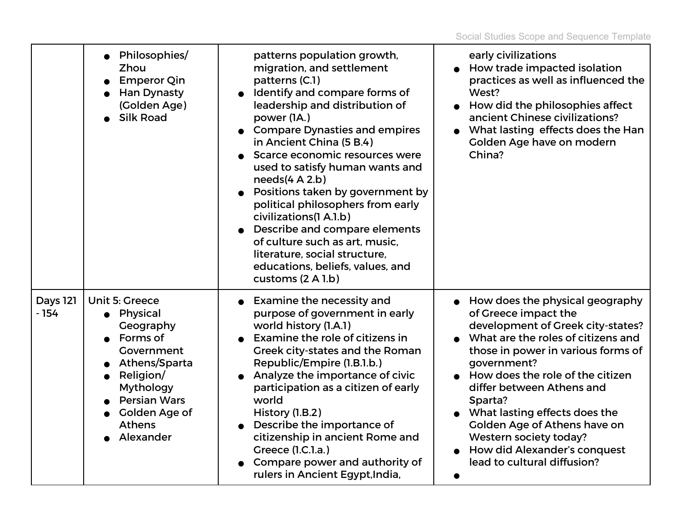|                           | Philosophies/<br><b>Zhou</b><br><b>Emperor Qin</b><br><b>Han Dynasty</b><br>(Golden Age)<br><b>Silk Road</b>                                                                                             | patterns population growth,<br>migration, and settlement<br>patterns (C.1)<br>Identify and compare forms of<br>$\bullet$<br>leadership and distribution of<br>power (1A.)<br><b>Compare Dynasties and empires</b><br>in Ancient China (5 B.4)<br>Scarce economic resources were<br>used to satisfy human wants and<br>needs(4 A 2.b)<br>Positions taken by government by<br>political philosophers from early<br>civilizations(1 A.1.b)<br>Describe and compare elements<br>of culture such as art, music,<br>literature, social structure,<br>educations, beliefs, values, and<br>customs (2 A 1.b) | early civilizations<br>How trade impacted isolation<br>practices as well as influenced the<br>West?<br>How did the philosophies affect<br>ancient Chinese civilizations?<br>What lasting effects does the Han<br>Golden Age have on modern<br>China?                                                                                                                                                                          |
|---------------------------|----------------------------------------------------------------------------------------------------------------------------------------------------------------------------------------------------------|------------------------------------------------------------------------------------------------------------------------------------------------------------------------------------------------------------------------------------------------------------------------------------------------------------------------------------------------------------------------------------------------------------------------------------------------------------------------------------------------------------------------------------------------------------------------------------------------------|-------------------------------------------------------------------------------------------------------------------------------------------------------------------------------------------------------------------------------------------------------------------------------------------------------------------------------------------------------------------------------------------------------------------------------|
| <b>Days 121</b><br>$-154$ | Unit 5: Greece<br>• Physical<br>Geography<br>Forms of<br>Government<br>Athens/Sparta<br>Religion/<br>$\bullet$<br><b>Mythology</b><br><b>Persian Wars</b><br>Golden Age of<br><b>Athens</b><br>Alexander | <b>Examine the necessity and</b><br>$\bullet$<br>purpose of government in early<br>world history (1.A.1)<br>Examine the role of citizens in<br>Greek city-states and the Roman<br>Republic/Empire (1.B.1.b.)<br>Analyze the importance of civic<br>participation as a citizen of early<br>world<br>History (1.B.2)<br>Describe the importance of<br>citizenship in ancient Rome and<br>Greece (1.C.1.a.)<br>Compare power and authority of<br>rulers in Ancient Egypt, India,                                                                                                                        | How does the physical geography<br>of Greece impact the<br>development of Greek city-states?<br>What are the roles of citizens and<br>those in power in various forms of<br>government?<br>How does the role of the citizen<br>differ between Athens and<br>Sparta?<br>What lasting effects does the<br>Golden Age of Athens have on<br>Western society today?<br>How did Alexander's conquest<br>lead to cultural diffusion? |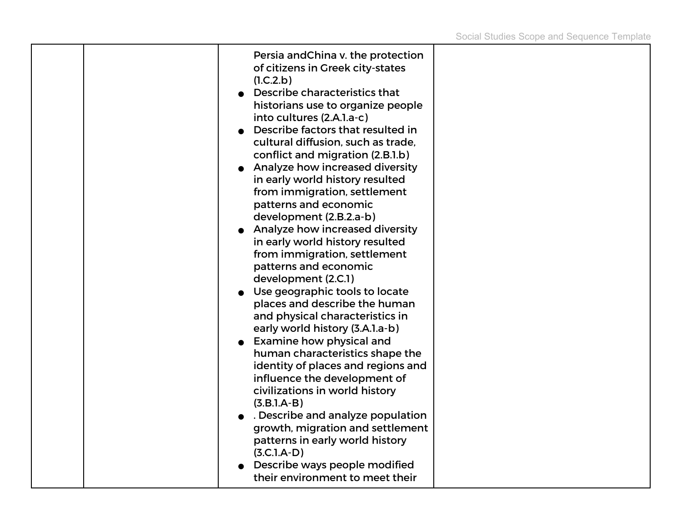|  | Persia and China v. the protection<br>of citizens in Greek city-states<br>(1.C.2.b)<br>Describe characteristics that<br>historians use to organize people<br>into cultures (2.A.l.a-c)<br>Describe factors that resulted in<br>cultural diffusion, such as trade,<br>conflict and migration (2.B.1.b)<br>Analyze how increased diversity<br>in early world history resulted<br>from immigration, settlement<br>patterns and economic<br>development (2.B.2.a-b)<br>Analyze how increased diversity<br>in early world history resulted<br>from immigration, settlement<br>patterns and economic<br>development (2.C.1)<br>Use geographic tools to locate<br>places and describe the human<br>and physical characteristics in<br>early world history (3.A.1.a-b)<br><b>Examine how physical and</b><br>human characteristics shape the<br>identity of places and regions and<br>influence the development of<br>civilizations in world history<br>$(3.B.1.A-B)$<br>. Describe and analyze population<br>growth, migration and settlement<br>patterns in early world history<br>$(3.C.1.A-D)$<br>Describe ways people modified<br>their environment to meet their |  |
|--|----------------------------------------------------------------------------------------------------------------------------------------------------------------------------------------------------------------------------------------------------------------------------------------------------------------------------------------------------------------------------------------------------------------------------------------------------------------------------------------------------------------------------------------------------------------------------------------------------------------------------------------------------------------------------------------------------------------------------------------------------------------------------------------------------------------------------------------------------------------------------------------------------------------------------------------------------------------------------------------------------------------------------------------------------------------------------------------------------------------------------------------------------------------|--|
|--|----------------------------------------------------------------------------------------------------------------------------------------------------------------------------------------------------------------------------------------------------------------------------------------------------------------------------------------------------------------------------------------------------------------------------------------------------------------------------------------------------------------------------------------------------------------------------------------------------------------------------------------------------------------------------------------------------------------------------------------------------------------------------------------------------------------------------------------------------------------------------------------------------------------------------------------------------------------------------------------------------------------------------------------------------------------------------------------------------------------------------------------------------------------|--|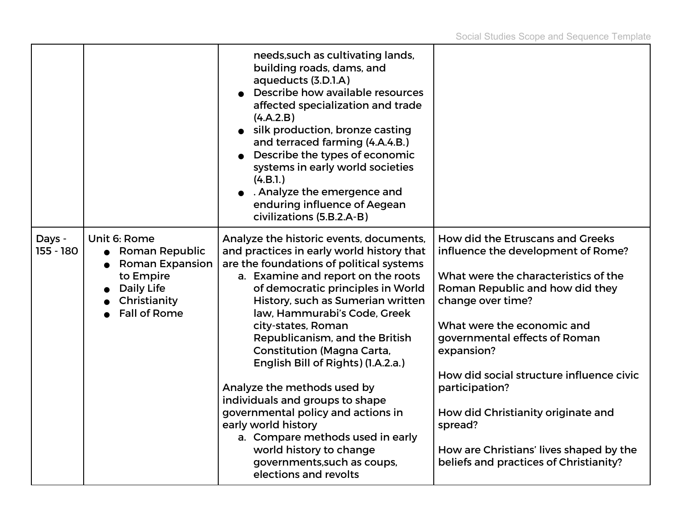|                     |                                                                                                                                   | needs, such as cultivating lands,<br>building roads, dams, and<br>aqueducts (3.D.1.A)<br>Describe how available resources<br>affected specialization and trade<br>(4.A.2.B)<br>silk production, bronze casting<br>and terraced farming (4.A.4.B.)<br>• Describe the types of economic<br>systems in early world societies<br>(4.B.1.)<br>. Analyze the emergence and<br>enduring influence of Aegean<br>civilizations (5.B.2.A-B)                                                                                                                                                                                                                                         |                                                                                                                                                                                                                                                                                                                                                                                                                                                         |
|---------------------|-----------------------------------------------------------------------------------------------------------------------------------|---------------------------------------------------------------------------------------------------------------------------------------------------------------------------------------------------------------------------------------------------------------------------------------------------------------------------------------------------------------------------------------------------------------------------------------------------------------------------------------------------------------------------------------------------------------------------------------------------------------------------------------------------------------------------|---------------------------------------------------------------------------------------------------------------------------------------------------------------------------------------------------------------------------------------------------------------------------------------------------------------------------------------------------------------------------------------------------------------------------------------------------------|
| Days -<br>155 - 180 | Unit 6: Rome<br><b>Roman Republic</b><br><b>Roman Expansion</b><br>to Empire<br>Daily Life<br>Christianity<br><b>Fall of Rome</b> | Analyze the historic events, documents,<br>and practices in early world history that<br>are the foundations of political systems<br>a. Examine and report on the roots<br>of democratic principles in World<br>History, such as Sumerian written<br>law, Hammurabi's Code, Greek<br>city-states, Roman<br>Republicanism, and the British<br><b>Constitution (Magna Carta,</b><br>English Bill of Rights) (I.A.2.a.)<br>Analyze the methods used by<br>individuals and groups to shape<br>governmental policy and actions in<br>early world history<br>a. Compare methods used in early<br>world history to change<br>governments, such as coups,<br>elections and revolts | How did the Etruscans and Greeks<br>influence the development of Rome?<br>What were the characteristics of the<br>Roman Republic and how did they<br>change over time?<br>What were the economic and<br>governmental effects of Roman<br>expansion?<br>How did social structure influence civic<br>participation?<br>How did Christianity originate and<br>spread?<br>How are Christians' lives shaped by the<br>beliefs and practices of Christianity? |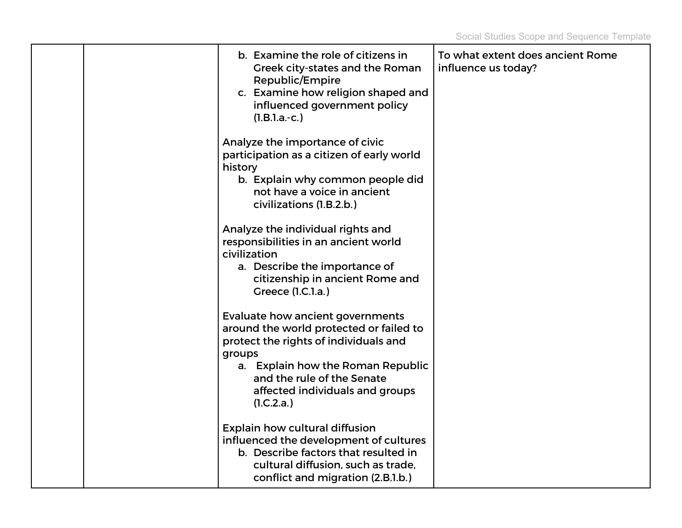|  | b. Examine the role of citizens in<br>Greek city-states and the Roman<br>Republic/Empire<br>c. Examine how religion shaped and<br>influenced government policy<br>$(l.B.l.a.-c.)$                                                                  | To what extent does ancient Rome<br>influence us today? |
|--|----------------------------------------------------------------------------------------------------------------------------------------------------------------------------------------------------------------------------------------------------|---------------------------------------------------------|
|  | Analyze the importance of civic<br>participation as a citizen of early world<br>history<br>b. Explain why common people did<br>not have a voice in ancient<br>civilizations (1.B.2.b.)                                                             |                                                         |
|  | Analyze the individual rights and<br>responsibilities in an ancient world<br>civilization<br>a. Describe the importance of<br>citizenship in ancient Rome and<br>Greece (1.C.1.a.)                                                                 |                                                         |
|  | Evaluate how ancient governments<br>around the world protected or failed to<br>protect the rights of individuals and<br>groups<br>a. Explain how the Roman Republic<br>and the rule of the Senate<br>affected individuals and groups<br>(1.C.2.a.) |                                                         |
|  | <b>Explain how cultural diffusion</b><br>influenced the development of cultures<br>b. Describe factors that resulted in<br>cultural diffusion, such as trade,<br>conflict and migration (2.B.1.b.)                                                 |                                                         |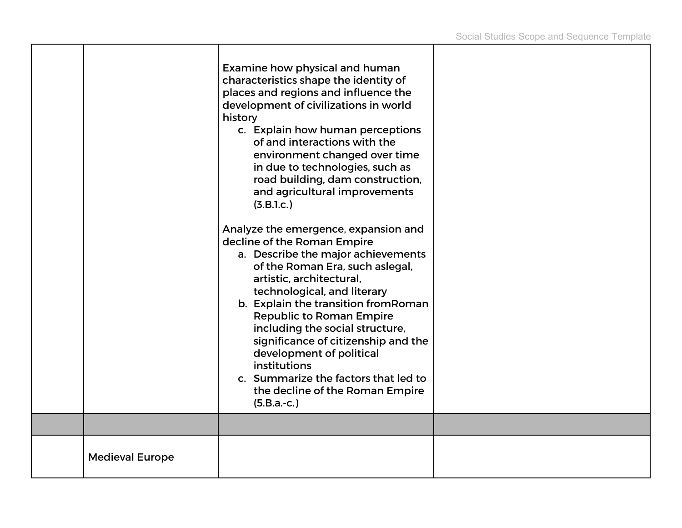|                        | Examine how physical and human<br>characteristics shape the identity of<br>places and regions and influence the<br>development of civilizations in world<br>history<br>c. Explain how human perceptions<br>of and interactions with the<br>environment changed over time<br>in due to technologies, such as<br>road building, dam construction,<br>and agricultural improvements<br>(3.B.1.c.)                                                                                                              |  |
|------------------------|-------------------------------------------------------------------------------------------------------------------------------------------------------------------------------------------------------------------------------------------------------------------------------------------------------------------------------------------------------------------------------------------------------------------------------------------------------------------------------------------------------------|--|
|                        | Analyze the emergence, expansion and<br>decline of the Roman Empire<br>a. Describe the major achievements<br>of the Roman Era, such aslegal,<br>artistic, architectural,<br>technological, and literary<br>b. Explain the transition from Roman<br><b>Republic to Roman Empire</b><br>including the social structure,<br>significance of citizenship and the<br>development of political<br><b>institutions</b><br>c. Summarize the factors that led to<br>the decline of the Roman Empire<br>$(5.B.a.-c.)$ |  |
|                        |                                                                                                                                                                                                                                                                                                                                                                                                                                                                                                             |  |
| <b>Medieval Europe</b> |                                                                                                                                                                                                                                                                                                                                                                                                                                                                                                             |  |